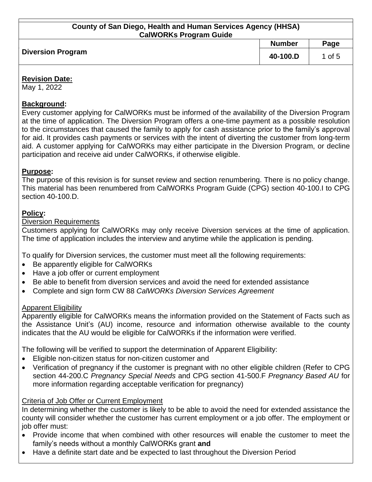#### **County of San Diego, Health and Human Services Agency (HHSA) CalWORKs Program Guide**

| <b>Number</b>                        |      |  |  |
|--------------------------------------|------|--|--|
|                                      | Page |  |  |
| <b>Diversion Program</b><br>40-100.D | of 5 |  |  |

#### **Revision Date:**

May 1, 2022

# **Background:**

Every customer applying for CalWORKs must be informed of the availability of the Diversion Program at the time of application. The Diversion Program offers a one-time payment as a possible resolution to the circumstances that caused the family to apply for cash assistance prior to the family's approval for aid. It provides cash payments or services with the intent of diverting the customer from long-term aid. A customer applying for CalWORKs may either participate in the Diversion Program, or decline participation and receive aid under CalWORKs, if otherwise eligible.

# **Purpose:**

The purpose of this revision is for sunset review and section renumbering. There is no policy change. This material has been renumbered from CalWORKs Program Guide (CPG) section 40-100.I to CPG section 40-100.D.

# **Policy:**

## Diversion Requirements

Customers applying for CalWORKs may only receive Diversion services at the time of application. The time of application includes the interview and anytime while the application is pending.

To qualify for Diversion services, the customer must meet all the following requirements:

- Be apparently eligible for CalWORKs
- Have a job offer or current employment
- Be able to benefit from diversion services and avoid the need for extended assistance
- Complete and sign form CW 88 *CalWORKs Diversion Services Agreement*

## **Apparent Eligibility**

Apparently eligible for CalWORKs means the information provided on the Statement of Facts such as the Assistance Unit's (AU) income, resource and information otherwise available to the county indicates that the AU would be eligible for CalWORKs if the information were verified.

The following will be verified to support the determination of Apparent Eligibility:

- Eligible non-citizen status for non-citizen customer and
- Verification of pregnancy if the customer is pregnant with no other eligible children (Refer to CPG section 44-200.C *Pregnancy Special Needs* and CPG section 41-500.F *Pregnancy Based AU* for more information regarding acceptable verification for pregnancy)

## Criteria of Job Offer or Current Employment

In determining whether the customer is likely to be able to avoid the need for extended assistance the county will consider whether the customer has current employment or a job offer. The employment or job offer must:

- Provide income that when combined with other resources will enable the customer to meet the family's needs without a monthly CalWORKs grant **and**
- Have a definite start date and be expected to last throughout the Diversion Period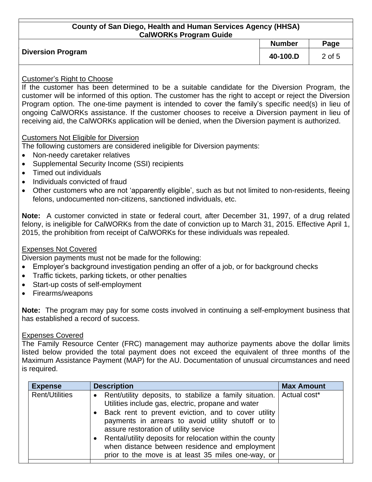#### **County of San Diego, Health and Human Services Agency (HHSA) CalWORKs Program Guide**

|                          | <b>Number</b> | Page   |
|--------------------------|---------------|--------|
| <b>Diversion Program</b> | 40-100.D      | 2 of 5 |

#### Customer's Right to Choose

If the customer has been determined to be a suitable candidate for the Diversion Program, the customer will be informed of this option. The customer has the right to accept or reject the Diversion Program option. The one-time payment is intended to cover the family's specific need(s) in lieu of ongoing CalWORKs assistance. If the customer chooses to receive a Diversion payment in lieu of receiving aid, the CalWORKs application will be denied, when the Diversion payment is authorized.

#### Customers Not Eligible for Diversion

The following customers are considered ineligible for Diversion payments:

- Non-needy caretaker relatives
- Supplemental Security Income (SSI) recipients
- Timed out individuals
- Individuals convicted of fraud
- Other customers who are not 'apparently eligible', such as but not limited to non-residents, fleeing felons, undocumented non-citizens, sanctioned individuals, etc.

**Note:** A customer convicted in state or federal court, after December 31, 1997, of a drug related felony, is ineligible for CalWORKs from the date of conviction up to March 31, 2015. Effective April 1, 2015, the prohibition from receipt of CalWORKs for these individuals was repealed.

## Expenses Not Covered

Diversion payments must not be made for the following:

- Employer's background investigation pending an offer of a job, or for background checks
- Traffic tickets, parking tickets, or other penalties
- Start-up costs of self-employment
- Firearms/weapons

**Note:** The program may pay for some costs involved in continuing a self-employment business that has established a record of success.

#### Expenses Covered

The Family Resource Center (FRC) management may authorize payments above the dollar limits listed below provided the total payment does not exceed the equivalent of three months of the Maximum Assistance Payment (MAP) for the AU. Documentation of unusual circumstances and need is required.

| <b>Expense</b>        | <b>Description</b>                                                                                                                                                                                                                                                                                                                                                                                                                                         | <b>Max Amount</b> |
|-----------------------|------------------------------------------------------------------------------------------------------------------------------------------------------------------------------------------------------------------------------------------------------------------------------------------------------------------------------------------------------------------------------------------------------------------------------------------------------------|-------------------|
| <b>Rent/Utilities</b> | • Rent/utility deposits, to stabilize a family situation.   Actual cost*<br>Utilities include gas, electric, propane and water<br>Back rent to prevent eviction, and to cover utility<br>payments in arrears to avoid utility shutoff or to<br>assure restoration of utility service<br>• Rental/utility deposits for relocation within the county<br>when distance between residence and employment<br>prior to the move is at least 35 miles one-way, or |                   |
|                       |                                                                                                                                                                                                                                                                                                                                                                                                                                                            |                   |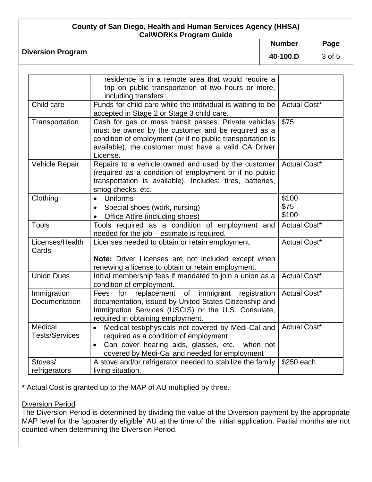# **County of San Diego, Health and Human Services Agency (HHSA)**

| <u>UUUIII) UI JAII DIEYU, HEAIIII AHU HUMAH JEHTICES AYEHUY (HIHAA)</u><br><b>CalWORKs Program Guide</b> |               |        |
|----------------------------------------------------------------------------------------------------------|---------------|--------|
|                                                                                                          | <b>Number</b> | Page   |
| <b>Diversion Program</b>                                                                                 | 40-100.D      | 3 of 5 |
| $\sim$ 1 $\sim$<br>$\sim$ $\sim$                                                                         |               |        |

|                       | residence is in a remote area that would require a         |                     |
|-----------------------|------------------------------------------------------------|---------------------|
|                       | trip on public transportation of two hours or more,        |                     |
|                       | including transfers                                        |                     |
| Child care            | Funds for child care while the individual is waiting to be | <b>Actual Cost*</b> |
|                       | accepted in Stage 2 or Stage 3 child care.                 |                     |
| Transportation        | Cash for gas or mass transit passes. Private vehicles      | \$75                |
|                       | must be owned by the customer and be required as a         |                     |
|                       | condition of employment (or if no public transportation is |                     |
|                       | available), the customer must have a valid CA Driver       |                     |
|                       | License.                                                   |                     |
| Vehicle Repair        | Repairs to a vehicle owned and used by the customer        | Actual Cost*        |
|                       | (required as a condition of employment or if no public     |                     |
|                       | transportation is available). Includes: tires, batteries,  |                     |
|                       | smog checks, etc.                                          |                     |
| Clothing              | Uniforms<br>$\bullet$                                      | \$100               |
|                       | Special shoes (work, nursing)<br>$\bullet$                 | \$75                |
|                       | Office Attire (including shoes)<br>$\bullet$               | \$100               |
| <b>Tools</b>          | Tools required as a condition of employment and            | <b>Actual Cost*</b> |
|                       | needed for the job - estimate is required.                 |                     |
| Licenses/Health       | Licenses needed to obtain or retain employment.            | <b>Actual Cost*</b> |
| Cards                 |                                                            |                     |
|                       | Note: Driver Licenses are not included except when         |                     |
|                       | renewing a license to obtain or retain employment.         |                     |
| <b>Union Dues</b>     | Initial membership fees if mandated to join a union as a   | <b>Actual Cost*</b> |
|                       | condition of employment.                                   |                     |
| Immigration           | replacement of<br>immigrant<br>for<br>registration<br>Fees | <b>Actual Cost*</b> |
| Documentation         | documentation, issued by United States Citizenship and     |                     |
|                       | Immigration Services (USCIS) or the U.S. Consulate,        |                     |
|                       | required in obtaining employment.                          |                     |
| Medical               | Medical test/physicals not covered by Medi-Cal and         | Actual Cost*        |
| <b>Tests/Services</b> | required as a condition of employment                      |                     |
|                       | Can cover hearing aids, glasses, etc.<br>when not          |                     |
|                       | covered by Medi-Cal and needed for employment              |                     |
| Stoves/               | A stove and/or refrigerator needed to stabilize the family | \$250 each          |
| refrigerators         | living situation.                                          |                     |

**\*** Actual Cost is granted up to the MAP of AU multiplied by three.

## Diversion Period

The Diversion Period is determined by dividing the value of the Diversion payment by the appropriate MAP level for the 'apparently eligible' AU at the time of the initial application. Partial months are not counted when determining the Diversion Period.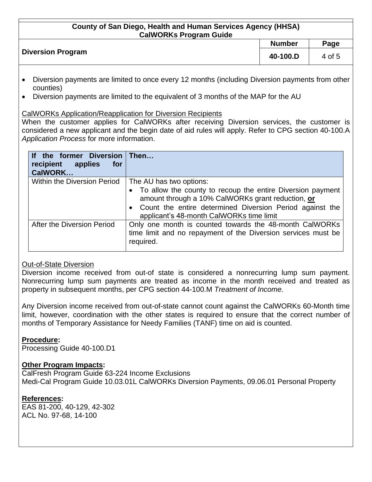#### **County of San Diego, Health and Human Services Agency (HHSA) CalWORKs Program Guide**

|                          | <b>Number</b> | Page   |
|--------------------------|---------------|--------|
| <b>Diversion Program</b> | 40-100.D      | 4 of 5 |
|                          |               |        |

- Diversion payments are limited to once every 12 months (including Diversion payments from other counties)
- Diversion payments are limited to the equivalent of 3 months of the MAP for the AU

## CalWORKs Application/Reapplication for Diversion Recipients

When the customer applies for CalWORKs after receiving Diversion services, the customer is considered a new applicant and the begin date of aid rules will apply. Refer to CPG section 40-100.A *Application Process* for more information.

| If the former Diversion Then<br>recipient applies<br>for<br>CalWORK |                                                                                                                                                                                                                                      |
|---------------------------------------------------------------------|--------------------------------------------------------------------------------------------------------------------------------------------------------------------------------------------------------------------------------------|
| Within the Diversion Period                                         | The AU has two options:                                                                                                                                                                                                              |
|                                                                     | To allow the county to recoup the entire Diversion payment<br>amount through a 10% CalWORKs grant reduction, or<br>Count the entire determined Diversion Period against the<br>$\bullet$<br>applicant's 48-month CalWORKs time limit |
| After the Diversion Period                                          | Only one month is counted towards the 48-month CalWORKs<br>time limit and no repayment of the Diversion services must be<br>required.                                                                                                |

## Out-of-State Diversion

Diversion income received from out-of state is considered a nonrecurring lump sum payment. Nonrecurring lump sum payments are treated as income in the month received and treated as property in subsequent months, per CPG section 44-100.M *Treatment of Income.*

Any Diversion income received from out-of-state cannot count against the CalWORKs 60-Month time limit, however, coordination with the other states is required to ensure that the correct number of months of Temporary Assistance for Needy Families (TANF) time on aid is counted.

## **Procedure:**

Processing Guide 40-100.D1

## **Other Program Impacts:**

CalFresh Program Guide 63-224 Income Exclusions Medi-Cal Program Guide 10.03.01L CalWORKs Diversion Payments, 09.06.01 Personal Property

## **References:**

EAS 81-200, 40-129, 42-302 ACL No. 97-68, 14-100